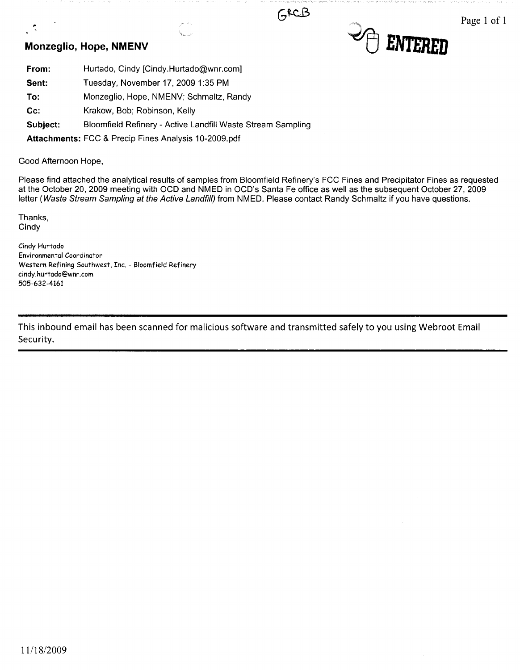### **Monzeglio, Hope, NMENV**





Page 1 of 1

| From: | Hurtado, Cindy [Cindy.Hurtado@wnr.com]  |
|-------|-----------------------------------------|
| Sent: | Tuesday, November 17, 2009 1:35 PM      |
| To:   | Monzeglio, Hope, NMENV; Schmaltz, Randy |
| Cc:   | Krakow, Bob; Robinson, Kelly            |

**Subject:** Bloomfield Refinery - Active Landfill Waste Stream Sampling

**Attachments:** FCC & Precip Fines Analysis 10-2009.pdf

Good Afternoon Hope,

Please find attached the analytical results of samples from Bloomfield Refinery's FCC Fines and Precipitator Fines as requested at the October 20, 2009 meeting with OCD and NMED in OCD's Santa Fe office as well as the subsequent October 27, 2009 letter (Waste Stream Sampling at the Active Landfill) from NMED. Please contact Randy Schmaltz if you have questions.

GECB

Thanks, Cindy

,.

Cindy Hurtado Environmental Coordinator Western Refining Southwest, Inc. - Bloomfield Refinery cindy.hurtado@wnr.com 505-632-4161

This inbound email has been scanned for malicious software and transmitted safely to you using Webroot Email Security.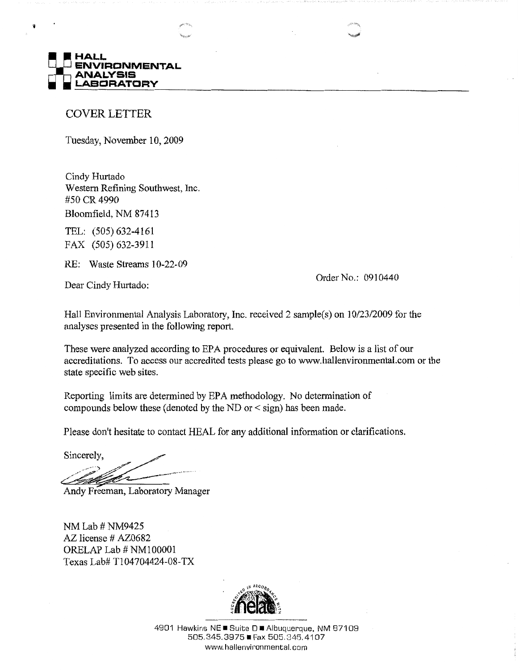

#### COVER LETTER

Tuesday, November 10, 2009

Cindy Hurtado Western Refining Southwest, Inc. #50 CR 4990

Bloomfield, NM 87413

TEL: (505) 632-4161 FAX (505) 632-3911

RE: Waste Streams 10-22-09

Dear Cindy Hurtado:

Order No.: 0910440

Hall Environmental Analysis Laboratory, Inc. received 2 sample(s) on 10/23/2009 for the analyses presented in the following report.

These were analyzed according to EPA procedures or equivalent. Below is a list of our accreditations. To access our accredited tests please go to www.hallenvironrnental.com or the state specific web sites.

Reporting limits are determined by EPA methodology. No determination of compounds below these ( denoted by the ND or < sign) has been made.

Please don't hesitate to contact HEAL for any additional information or clarifications.

Sincerely,

Andy Freeman, Laboratory Manager

NM Lab# NM9425 AZ license # AZ0682 ORELAP Lab# NM100001 Texas Lab# Tl04704424-08-TX



4901 Hawkins NE ■ Suite D ■ Albuquerque, NM 87109 505.345.3975 • Fax 505.845.4107 www.hallenvironmental.com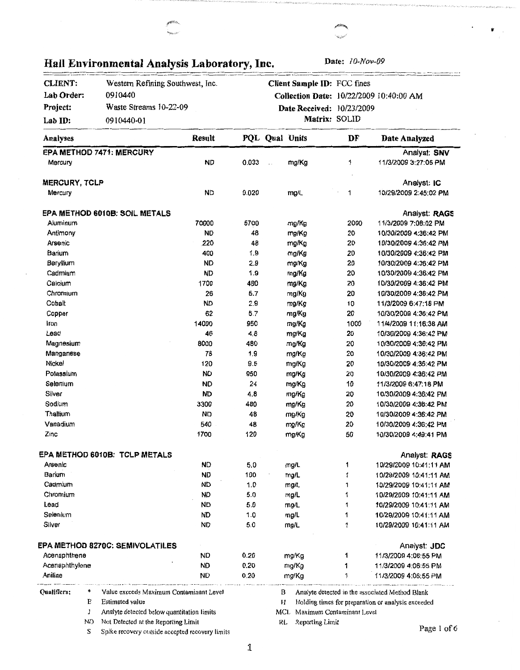| <b>CLIENT:</b>            |    | Western Refining Southwest, Inc.           |                        |              |              | Client Sample ID: FCC fines |                           |                                                    |
|---------------------------|----|--------------------------------------------|------------------------|--------------|--------------|-----------------------------|---------------------------|----------------------------------------------------|
| Lab Order:                |    | 0910440                                    |                        |              |              |                             |                           | Collection Date: 10/22/2009 10:40:00 AM            |
| Project:                  |    | Waste Streams 10-22-09                     |                        |              |              | Date Received: 10/23/2009   |                           |                                                    |
| Lab ID:                   |    | 0910440-01                                 |                        |              |              |                             | Matrix: SOLID             |                                                    |
| Analyses                  |    |                                            | Result                 |              |              | PQL Qual Units              | DF                        | Date Analyzed                                      |
|                           |    | EPA METHOD 7471: MERCURY                   |                        |              |              |                             |                           | Analyst: SNV                                       |
| Mercury                   |    |                                            | <b>ND</b>              | 0.033        | $\mathbf{L}$ | mg/Kg                       | 1                         | 11/3/2009 3:27:05 PM                               |
| <b>MERCURY, TCLP</b>      |    |                                            |                        |              |              |                             |                           | Analyst: IC                                        |
| Mercury                   |    |                                            | <b>ND</b>              | 0.020        |              | mg/L                        | 1                         | 10/29/2009 2:45:02 PM                              |
|                           |    | <b>EPA METHOD 6010B: SOIL METALS</b>       |                        |              |              |                             |                           | Analyst: RAGS                                      |
| Aluminum                  |    |                                            | 70000                  | 5700         |              | mg/Kg                       | 2000                      | 11/3/2009 7:08:02 PM                               |
| Antimony                  |    |                                            | <b>ND</b>              | 48           |              | mg/Kg                       | 20                        | 10/30/2009 4:36:42 PM                              |
| Arsenic                   |    |                                            | 220                    | 48           |              | mg/Kg                       | 20                        | 10/30/2009 4:36:42 PM                              |
| Barium                    |    |                                            | 400                    | 1.9          |              | mg/Kg                       | 20                        | 10/30/2009 4:36:42 PM                              |
| Beryllium                 |    |                                            | <b>ND</b>              | 2.9          |              | mg/Kg                       | 20                        | 10/30/2009 4:36:42 PM                              |
| Cadmium                   |    |                                            | <b>ND</b>              | 1.9          |              | mg/Kg                       | 20                        | 10/30/2009 4:36:42 PM                              |
| Calcium                   |    |                                            | 1700                   | 480          |              | mg/Kg                       | 20                        | 10/30/2009 4:36:42 PM                              |
| Chromium                  |    |                                            | 26                     | 5.7          |              | mg/Kg                       | 20                        | 10/30/2009 4:36:42 PM                              |
| Cobalt                    |    |                                            | <b>ND</b>              | 2.9          |              | mg/Kg                       | 10                        | 11/3/2009 6:47:18 PM                               |
| Copper                    |    |                                            | 62                     | 5.7          |              | mg/Kg                       | 20                        | 10/30/2009 4:36:42 PM                              |
| Iron                      |    |                                            | 14000                  | 950          |              | mg/Kg                       | 1000                      | 11/4/2009 11:16:38 AM                              |
| Lead                      |    |                                            | 46                     | 4.8          |              | mg/Kg                       | 20                        | 10/30/2009 4:36:42 PM                              |
| Magnesium                 |    |                                            | 8000                   | 480          |              | mg/Kg                       | 20                        | 10/30/2009 4:36:42 PM                              |
| Manganese                 |    |                                            | 78                     | 1.9          |              | mg/Kg                       | 20                        | 10/30/2009 4:36:42 PM                              |
| Nickel                    |    |                                            | 120                    | 9.5          |              | mg/Kg                       | 20                        | 10/30/2009 4:36:42 PM                              |
| Potassium                 |    |                                            | <b>ND</b>              | 950          |              | mg/Kg                       | 20                        | 10/30/2009 4:36:42 PM                              |
| Selenium                  |    |                                            | <b>ND</b>              | 24           |              | mg/Kg                       | 10                        | 11/3/2009 6:47:18 PM                               |
| Silver                    |    |                                            | <b>ND</b>              | 4.8          |              | mg/Kg                       | 20                        | 10/30/2009 4:36:42 PM                              |
| Sodium                    |    |                                            | 3300                   | 480          |              | mg/Kg                       | 20                        | 10/30/2009 4:36:42 PM                              |
| Thallium                  |    |                                            | ND                     | 48           |              | mg/Kg                       | 20                        | 10/30/2009 4:36:42 PM                              |
| Vanadium                  |    |                                            | 540                    | 48           |              | mg/Kg                       | 20                        | 10/30/2009 4:36:42 PM                              |
| Zinc                      |    |                                            | 1700                   | 120          |              | mg/Kg                       | 50                        | 10/30/2009 4:49:41 PM                              |
|                           |    | <b>EPA METHOD 6010B: TCLP METALS</b>       |                        |              |              |                             |                           | Analyst: RAGS                                      |
| Arsenic                   |    |                                            | <b>ND</b>              | 5.0          |              | mg/L                        | 1                         | 10/29/2009 10:41:11 AM                             |
| Barium                    |    |                                            | <b>ND</b>              | 100          |              | mg/L                        | 1                         | 10/29/2009 10:41:11 AM                             |
| Cadmium                   |    |                                            | <b>ND</b>              | 1.0          |              | mg/L                        | 1                         | 10/29/2009 10:41:11 AM                             |
| Chromium                  |    |                                            | <b>ND</b>              | 5.0          |              | mg/L                        | 1                         | 10/29/2009 10:41:11 AM                             |
| Lead                      |    |                                            | <b>ND</b>              | 5.0          |              | mg/L                        | 1                         | 10/29/2009 10:41:11 AM                             |
| Selenium                  |    |                                            | ND                     | 1.0          |              | mg/L                        | 1                         | 10/29/2009 10:41:11 AM                             |
| Silver                    |    |                                            | <b>ND</b>              | 5.0          |              | mg/L                        | 1                         | 10/29/2009 10:41:11 AM                             |
|                           |    |                                            |                        |              |              |                             |                           |                                                    |
|                           |    | EPA METHOD 8270C: SEMIVOLATILES            |                        |              |              |                             |                           | Analyst: JDC                                       |
| Acenaphthene              |    |                                            | <b>ND</b>              | 0.20         |              | mg/Kg                       | 1                         | 11/3/2009 4:06:55 PM                               |
| Acenaphthylene<br>Aniline |    |                                            | <b>ND</b><br><b>ND</b> | 0.20<br>0.20 |              | mg/Kg<br>mg/Kg              | 1<br>1                    | 11/3/2009 4:06:55 PM<br>11/3/2009 4:06:55 PM       |
| <b>Oualifiers:</b>        | *  | Value exceeds Maximum Contaminant Level    |                        |              | в            |                             |                           | Analyte detected in the associated Method Blank    |
|                           | E  | <b>Estimated value</b>                     |                        |              | H            |                             |                           | Holding times for preparation or analysis exceeded |
|                           | J  | Analyte detected below quantitation limits |                        |              | MCL          |                             | Maximum Contaminant Level |                                                    |
|                           | ND | Not Detected at the Reporting Limit        |                        |              | RL           | Reporting Limit             |                           | Page 1 of 6                                        |

 $\bullet$ 

### **Hall Environmental Analysis Laboratory, Inc. Date:** IO-Nov-09

1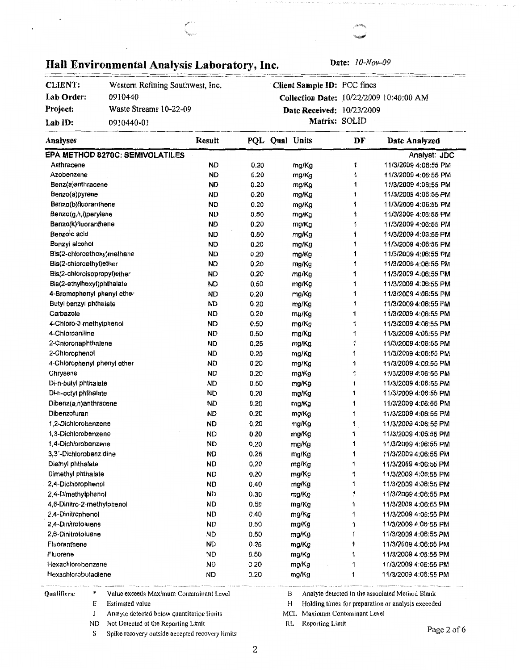# Hall Environmental Analysis Laboratory, Inc. Date: <sup>10-Nov-09</sup>

| <b>CLIENT:</b> | Western Refining Southwest, Inc. |
|----------------|----------------------------------|
| Lab Order:     | 0910440                          |
| Project:       | Waste Streams 10-22-09           |
| Lab $ID:$      | 0910440-01                       |

**Client Sample** ID: FCC fines Collection Date: 10/22/2009 I 0:40:00 AM Date Received: 10/23/2009 **Matrix:** SOLID

| Analyses                        | Result    |      | PQL Qual Units | DF | Date Analyzed        |
|---------------------------------|-----------|------|----------------|----|----------------------|
| EPA METHOD 8270C: SEMIVOLATILES |           |      |                |    | Analyst: JDC         |
| Anthracene                      | <b>ND</b> | 0.20 | mg/Kg          | 1  | 11/3/2009 4:06:55 PM |
| Azobenzene                      | <b>ND</b> | 0.20 | mg/Kg          | 1  | 11/3/2009 4:06:55 PM |
| Benz(a)anthracene               | <b>ND</b> | 0.20 | mg/Kg          | 1  | 11/3/2009 4:06:55 PM |
| Benzo(a)pyrene                  | <b>ND</b> | 0.20 | mg/Kg          | 1  | 11/3/2009 4:06:55 PM |
| Benzo(b)fluoranthene            | <b>ND</b> | 0.20 | mg/Kg          | 1  | 11/3/2009 4:06:55 PM |
| Benzo(g,h,i)perylene            | <b>ND</b> | 0.50 | mg/Kg          | 1  | 11/3/2009 4:06:55 PM |
| Benzo(k)fluoranthene            | <b>ND</b> | 0.20 | mg/Kg          | 1  | 11/3/2009 4:06:55 PM |
| Benzoic acid                    | <b>ND</b> | 0.50 | mg/Kg          | 1  | 11/3/2009 4:06:55 PM |
| Benzyl alcohol                  | ND        | 0.20 | mg/Kg          | 1  | 11/3/2009 4:06:55 PM |
| Bis(2-chloroethoxy)methane      | ND        | 0.20 | mg/Kg          | 1  | 11/3/2009 4:06:55 PM |
| Bis(2-chloroethyl)ether         | <b>ND</b> | 0.20 | mg/Kg          | 1  | 11/3/2009 4:06:55 PM |
| Bis(2-chloroisopropyl)ether     | <b>ND</b> | 0.20 | mg/Kg          | 1  | 11/3/2009 4:06:55 PM |
| Bis(2-ethylhexyl)phthalate      | <b>ND</b> | 0.50 | mg/Kg          | 1  | 11/3/2009 4:06:55 PM |
| 4-Bromophenyl phenyl ether      | <b>ND</b> | 0.20 | mg/Kg          | 1  | 11/3/2009 4:06:55 PM |
| Butyl benzyl phthalate          | <b>ND</b> | 0.20 | mg/Kg          | 1  | 11/3/2009 4:06:55 PM |
| Carbazole                       | <b>ND</b> | 0.20 | mg/Kg          | 1  | 11/3/2009 4:06:55 PM |
| 4-Chloro-3-methylphenol         | <b>ND</b> | 0.50 | mg/Kg          | 1  | 11/3/2009 4:06:55 PM |
| 4-Chloroaniline                 | <b>ND</b> | 0.50 | mg/Kg          | 1  | 11/3/2009 4:06:55 PM |
| 2-Chioronaphthalene             | <b>ND</b> | 0.25 | mg/Kg          | 1  | 11/3/2009 4:06:55 PM |
| 2-Chlorophenol                  | <b>ND</b> | 0.20 | mg/Kg          | 1  | 11/3/2009 4:06:55 PM |
| 4-Chlorophenyl phenyl ether     | <b>ND</b> | 0.20 | mg/Kg          | 1  | 11/3/2009 4:06:55 PM |
| Chrysene                        | <b>ND</b> | 0.20 | mg/Kg          | 1  | 11/3/2009 4:06:55 PM |
| Di-n-butyl phthalate            | <b>ND</b> | 0.50 | mg/Kg          | 1  | 11/3/2009 4:06:55 PM |
| Di-n-octyl phthalate            | <b>ND</b> | 0.20 | mg/Kg          | 1  | 11/3/2009 4:06:55 PM |
| Dibenz(a,h)anthracene           | <b>ND</b> | 0.20 | mg/Kg          | 1  | 11/3/2009 4:06:55 PM |
| Dibenzofuran                    | <b>ND</b> | 0.20 | mg/Kg          | 1  | 11/3/2009 4:06:55 PM |
| 1.2-Dichlorobenzene             | <b>ND</b> | 0.20 | mg/Kg          | 1  | 11/3/2009 4:06:55 PM |
| 1,3-Dichlorobenzene             | <b>ND</b> | 0.20 | mg/Kg          | 1  | 11/3/2009 4:06:55 PM |
| 1,4-Dichlorobenzene             | <b>ND</b> | 0.20 | mg/Kg          | 1  | 11/3/2009 4:06:55 PM |
| 3,3'-Dichlorobenzidine          | <b>ND</b> | 0.25 | mg/Kg          | 1  | 11/3/2009 4:06:55 PM |
| Diethyl phthalate               | <b>ND</b> | 0.20 | mg/Kg          | 1  | 11/3/2009 4:06:55 PM |
| Dimethyl phthalate              | <b>ND</b> | 0.20 | mg/Kg          | 1  | 11/3/2009 4:06:55 PM |
| 2,4-Dichlorophenol              | ND        | 0.40 | mg/Kg          | 1  | 11/3/2009 4:06:55 PM |
| 2,4-Dimethylphenol              | <b>ND</b> | 0.30 | mg/Kg          | 1  | 11/3/2009 4:06:55 PM |
| 4,6-Dinitro-2-methylphenol      | ND        | 0.50 | mg/Kg          | 1  | 11/3/2009 4:06:55 PM |
| 2,4-Dinitrophenol               | ND        | 0.40 | mg/Kg          | 1  | 11/3/2009 4:06:55 PM |
| 2.4-Dinitrotoluene              | ND        | 0.50 | mg/Kg          | 1  | 11/3/2009 4:06:55 PM |
| 2.6-Dinitrotoluene              | ND        | 0.50 | mg/Kg          | 1  | 11/3/2009 4:06:55 PM |
| Fluoranthene                    | <b>ND</b> | 0.25 | mg/Kg          | 1  | 11/3/2009 4:06:55 PM |
| Fluorene                        | ND        | 0.50 | mg/Kg          | 1  | 11/3/2009 4:06:55 PM |
| Hexachlorobenzene               | <b>ND</b> | 0.20 | mg/Kg          | 1  | 11/3/2009 4:06:55 PM |
| Hexachlorobutadiene             | ND        | 0.20 | mg/Kg          | 1  | 11/3/2009 4:06:55 PM |

Qualifiers: \* Value exceeds Maximum Contaminant Level

- E Estimated value
- $J$ Analyte detected below quantitation limits
- ND Not Detected at the Reporting Limit
- S Spike recovery outside accepted recovery limits
- B Analyte detected in the associated Method Blank
- H Holding times for preparation or analysis exceeded

Page 2 of 6

MCL Maximum Contaminant Level

RL Reporting Limit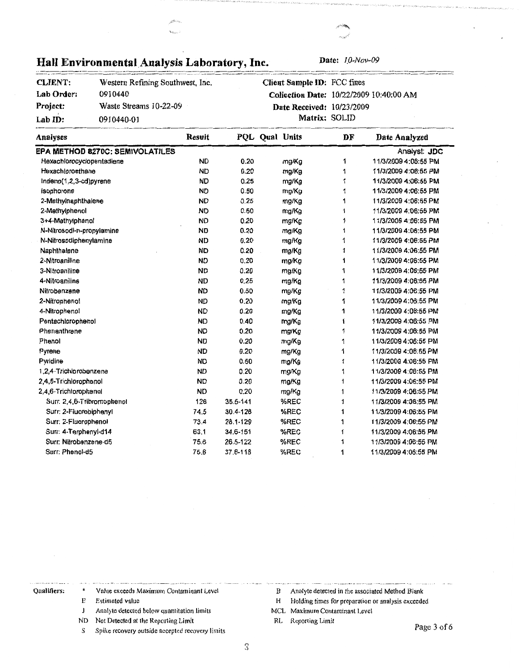| Lab Order:                 | 0910440                         |               |          |                           |    | Collection Date: 10/22/2009 10:40:00 AM |  |  |
|----------------------------|---------------------------------|---------------|----------|---------------------------|----|-----------------------------------------|--|--|
| Project:                   | Waste Streams 10-22-09          |               |          | Date Received: 10/23/2009 |    |                                         |  |  |
| Lab ID:                    | 0910440-01                      |               |          | Matrix: SOLID             |    |                                         |  |  |
| Analyses                   |                                 | <b>Result</b> |          | PQL Qual Units            | DF | Date Analyzed                           |  |  |
|                            | EPA METHOD 8270C: SEMIVOLATILES |               |          |                           |    | Analyst: JDC                            |  |  |
| Hexachiorocyclopentadiene  |                                 | <b>ND</b>     | 0.20     | mg/Kg                     | 1  | 11/3/2009 4:06:55 PM                    |  |  |
| Hexachloroethane           |                                 | <b>ND</b>     | 0.20     | mg/Kg                     | 1  | 11/3/2009 4:06:55 PM                    |  |  |
| Indeno(1,2,3-cd)pyrene     |                                 | <b>ND</b>     | 0.25     | mg/Kg                     | 1  | 11/3/2009 4:06:55 PM                    |  |  |
| Isophorone                 |                                 | <b>ND</b>     | 0.50     | mg/Kg                     | 1  | 11/3/2009 4:06:55 PM                    |  |  |
| 2-Methylnaphthalene        |                                 | <b>ND</b>     | 0.25     | mg/Kg                     | 1  | 11/3/2009 4:06:55 PM                    |  |  |
| 2-Methylphenol             |                                 | <b>ND</b>     | 0.50     | mg/Kg                     | 1  | 11/3/2009 4:06:55 PM                    |  |  |
| 3+4-Methylphenol           |                                 | <b>ND</b>     | 0.20     | mg/Kg                     | 1  | 11/3/2009 4:06:55 PM                    |  |  |
| N-Nitrosodi-n-propylamine  |                                 | <b>ND</b>     | 0.20     | mg/Kg                     | 1  | 11/3/2009 4:06:55 PM                    |  |  |
| N-Nitrosodiphenylamine     |                                 | <b>ND</b>     | 0.20     | mg/Kg                     | 1  | 11/3/2009 4:06:55 PM                    |  |  |
| Naphthalene                |                                 | <b>ND</b>     | 0.20     | mg/Kg                     | 1  | 11/3/2009 4:06:55 PM                    |  |  |
| 2-Nitroaniline             |                                 | <b>ND</b>     | 0.20     | mg/Kg                     | 1  | 11/3/2009 4:06:55 PM                    |  |  |
| 3-Nitroaniine              |                                 | <b>ND</b>     | 0.20     | mg/Kg                     | 1  | 11/3/2009 4:06:55 PM                    |  |  |
| 4-Nitroaniline             |                                 | <b>ND</b>     | 0.25     | mg/Kg                     | 1  | 11/3/2009 4:06:55 PM                    |  |  |
| Nitrobenzene               |                                 | <b>ND</b>     | 0.50     | mg/Kg                     | 1  | 11/3/2009 4:06:55 PM                    |  |  |
| 2-Nitropheno!              |                                 | <b>ND</b>     | 0.20     | mg/Kg                     | 1  | 11/3/2009 4:06:55 PM                    |  |  |
| 4-Nitrophenol              |                                 | <b>ND</b>     | 0.20     | mg/Kg                     | 1  | 11/3/2009 4:06:55 PM                    |  |  |
| Pentachlorophenol          |                                 | <b>ND</b>     | 0.40     | mg/Kg                     | 1  | 11/3/2009 4:06:55 PM                    |  |  |
| Phenanthrene               |                                 | <b>ND</b>     | 0.20     | mg/Kg                     | 1  | 11/3/2009 4:06:55 PM                    |  |  |
| Phenol                     |                                 | <b>ND</b>     | 0.20     | mg/Kg                     | 1  | 11/3/2009 4:06:55 PM                    |  |  |
| Pyrene                     |                                 | <b>ND</b>     | 0.20     | mg/Kg                     | 1  | 11/3/2009 4:06:55 PM                    |  |  |
| Pyridine                   |                                 | <b>ND</b>     | 0.50     | mg/Kg                     | 1  | 11/3/2009 4:06:55 PM                    |  |  |
| 1,2,4-Trichlorobenzene     |                                 | <b>ND</b>     | 0.20     | mg/Kg                     | 1  | 11/3/2009 4:06:55 PM                    |  |  |
| 2,4,5-Trichlorophenol      |                                 | <b>ND</b>     | 0.20     | mg/Kg                     | 1  | 11/3/2009 4:06:55 PM                    |  |  |
| 2,4,6-Trichlorophenol      |                                 | <b>ND</b>     | 0.20     | mg/Kg                     | 1  | 11/3/2009 4:06:55 PM                    |  |  |
| Surr: 2,4,6-Tribromophenol |                                 | 126           | 35.5-141 | %REC                      | 1  | 11/3/2009 4:06:55 PM                    |  |  |
| Surr: 2-Fluorobiphenyl     |                                 | 74.5          | 30.4-128 | %REC                      | 1  | 11/3/2009 4:06:55 PM                    |  |  |
| Surr: 2-Fluorophenol       |                                 | 73.4          | 28.1-129 | %REC                      | 1  | 11/3/2009 4:06:55 PM                    |  |  |
| Surr: 4-Terphenyl-d14      |                                 | 63.1          | 34.6-151 | %REC                      | 1  | 11/3/2009 4:06:55 PM                    |  |  |
| Surr: Nitrobenzene-d5      |                                 | 75.6          | 26.5-122 | %REC                      | 1  | 11/3/2009 4:06:55 PM                    |  |  |

37.6-118

#### **Hall Environmental Analysis Laboratory, Inc.** Date:  $10-Nov-09$ --··--~-- -------------·----·--~~------------ ··-------·-· ·--~----

**CLIENT:** Western Refining Southwest, Inc.

**Client Sample** ID: FCC fines

Qualifiers: \* Value exceeds Maximum Contaminant Level

E Estimated value

Surr: Phenol-d5 75.6

- $\bf J$ Analyte detected below quantitation limits
- ND Not Detected at the Reporting Limit
- S Spike recovery outside accepted recovery limits
- B Analyte detected in the associated Method Blank
- H Holding times for preparation or analysis exceeded

%REC 1 1/3/2009 4:06:55 PM

MCL Maximum Contaminant Level

RL Reporting Limit

Page 3 of 6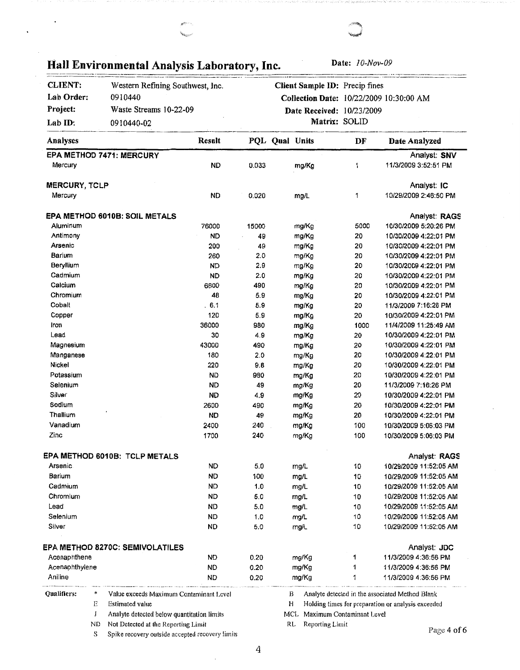| <b>CLIENT:</b> | Western Refining Southwest, Inc.                |           |       |                | Client Sample ID: Precip fines          |                           |                                                    |
|----------------|-------------------------------------------------|-----------|-------|----------------|-----------------------------------------|---------------------------|----------------------------------------------------|
| Lab Order:     | 0910440                                         |           |       |                | Collection Date: 10/22/2009 10:30:00 AM |                           |                                                    |
| Project:       | Waste Streams 10-22-09                          |           |       |                | Date Received: 10/23/2009               |                           |                                                    |
| Lab ID:        | 0910440-02                                      |           |       |                | Matrix: SOLID                           |                           |                                                    |
| Analyses       |                                                 | Result    |       | PQL Qual Units |                                         | DF                        | Date Analyzed                                      |
|                | EPA METHOD 7471: MERCURY                        |           |       |                |                                         |                           | Analyst: SNV                                       |
| Mercury        |                                                 | <b>ND</b> | 0.033 |                | mg/Kg                                   | 1                         | 11/3/2009 3:52:51 PM                               |
| MERCURY, TCLP  |                                                 |           |       |                |                                         |                           | Analyst: IC                                        |
| Mercury        |                                                 | <b>ND</b> | 0.020 |                | mg/L                                    | 1                         | 10/29/2009 2:46:50 PM                              |
|                | EPA METHOD 6010B: SOIL METALS                   |           |       |                |                                         |                           | Analyst: RAGS                                      |
| Aluminum       |                                                 | 76000     | 15000 |                | mg/Kg                                   | 5000                      | 10/30/2009 5:20:26 PM                              |
| Antimony       |                                                 | <b>ND</b> | 49    |                | mg/Kg                                   | 20                        | 10/30/2009 4:22:01 PM                              |
| Arsenic        |                                                 | 200       | 49    |                | mg/Kg                                   | 20                        | 10/30/2009 4:22:01 PM                              |
| Barium         |                                                 | 260       | 2.0   |                | mg/Kg                                   | 20                        | 10/30/2009 4:22:01 PM                              |
| Beryllium      |                                                 | <b>ND</b> | 2.9   |                | mg/Kg                                   | 20                        | 10/30/2009 4:22:01 PM                              |
| Cadmium        |                                                 | <b>ND</b> | 2.0   |                | mg/Kg                                   | 20                        | 10/30/2009 4:22:01 PM                              |
| Calcium        |                                                 | 6600      | 490   |                | mg/Kg                                   | 20                        | 10/30/2009 4:22:01 PM                              |
| Chromium       |                                                 | 48        | 5.9   |                | mg/Kg                                   | 20                        | 10/30/2009 4:22:01 PM                              |
| Cobalt         |                                                 | 6.1       | 5.9   |                | mg/Kg                                   | 20                        | 11/3/2009 7:16:26 PM                               |
| Copper         |                                                 | 120       | 5.9   |                | mg/Kg                                   | 20                        | 10/30/2009 4:22:01 PM                              |
| Iron           |                                                 | 36000     | 980   |                | mg/Kg                                   | 1000                      | 11/4/2009 11:25:49 AM                              |
| Lead           |                                                 | 30        | 4.9   |                | mg/Kg                                   | 20                        | 10/30/2009 4:22:01 PM                              |
| Magnesium      |                                                 | 43000     | 490   |                | mg/Kg                                   | 20                        | 10/30/2009 4:22:01 PM                              |
| Manganese      |                                                 | 180       | 2.0   |                | mg/Kg                                   | 20                        | 10/30/2009 4:22:01 PM                              |
| Nickel         |                                                 | 220       | 9.8   |                | mg/Kg                                   | 20                        | 10/30/2009 4:22:01 PM                              |
| Potassium      |                                                 | <b>ND</b> | 980   |                | mg/Kg                                   | 20                        | 10/30/2009 4:22:01 PM                              |
| Selenium       |                                                 | <b>ND</b> | 49    |                | mg/Kg                                   | 20                        | 11/3/2009 7:16:26 PM                               |
| Silver         |                                                 | <b>ND</b> | 4.9   |                | mg/Kg                                   | 20                        | 10/30/2009 4:22:01 PM                              |
| Sodium         |                                                 | 2600      | 490   |                | mg/Kg                                   | 20                        | 10/30/2009 4:22:01 PM                              |
| Thallium       |                                                 | <b>ND</b> | 49    |                | mg/Kg                                   | 20                        | 10/30/2009 4:22:01 PM                              |
| Vanadium       |                                                 | 2400      | 240   |                | mg/Kg                                   | 100                       | 10/30/2009 5:06:03 PM                              |
| Zinc           |                                                 | 1700      | 240   |                | mg/Kg                                   | 100                       | 10/30/2009 5:06:03 PM                              |
|                | <b>EPA METHOD 6010B: TCLP METALS</b>            |           |       |                |                                         |                           | Analyst: RAGS                                      |
| Arsenic        |                                                 | ND        | 5.0   |                | mg/L                                    | 10                        | 10/29/2009 11:52:05 AM                             |
| Barium         |                                                 | ND        | 100   |                | mg/L                                    | 10                        | 10/29/2009 11:52:05 AM                             |
| Cadmium        |                                                 | ND        | 1.0   |                | mg/L                                    | 10                        | 10/29/2009 11:52:05 AM                             |
| Chromium       |                                                 | ND        | 5.0   |                | mg/L                                    | 10                        | 10/29/2009 11:52:05 AM                             |
| Lead           |                                                 | ND        | 5.0   |                | mg/L                                    | 10                        | 10/29/2009 11:52:05 AM                             |
| Selenium       |                                                 | ND        | 1.0   |                | mg/L                                    | 10                        | 10/29/2009 11:52:05 AM                             |
| Silver         |                                                 | ND        | 5.0   |                | mg/L                                    | 10                        | 10/29/2009 11:52:05 AM                             |
|                | EPA METHOD 8270C: SEMIVOLATILES                 |           |       |                |                                         |                           | Analyst: JDC                                       |
| Acenaphthene   |                                                 | ND        | 0.20  |                | mg/Kg                                   | 1                         | 11/3/2009 4:36:56 PM                               |
| Acenaphthylene |                                                 | ND        | 0.20  |                | mg/Kg                                   | 1                         | 11/3/2009 4:36:56 PM                               |
| Aniline        |                                                 | ND        | 0.20  |                | mg/Kg                                   | 1                         | 11/3/2009 4:36:56 PM                               |
| Qualifiers:    | *<br>Value exceeds Maximum Contaminant Level    |           |       | в              |                                         |                           | Analyte detected in the associated Method Blank    |
|                | <b>Estimated value</b><br>Ε                     |           |       | Н              |                                         |                           | Holding times for preparation or analysis exceeded |
|                | J<br>Analyte detected below quantitation limits |           |       | MCL            |                                         | Maximum Contaminant Level |                                                    |
|                | Not Detected at the Reporting Limit<br>ND       |           |       | RL             | Reporting Limit                         |                           |                                                    |

 $\overline{\phantom{a}}$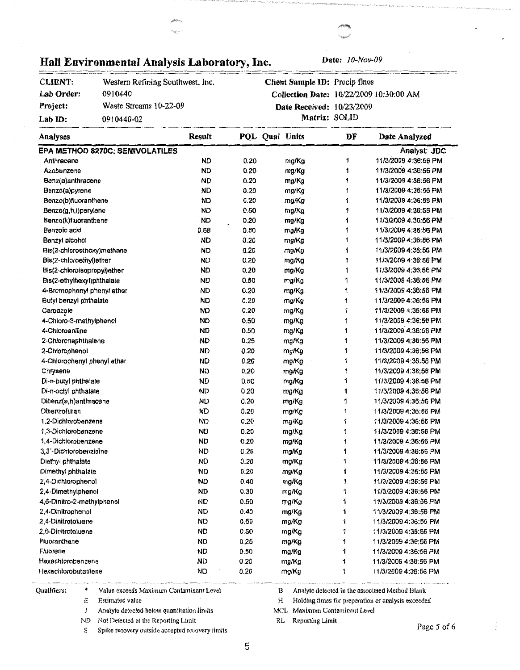| Project:                    | Waste Streams 10-22-09          |           |      | Date Received: 10/23/2009 |            |                      |
|-----------------------------|---------------------------------|-----------|------|---------------------------|------------|----------------------|
| Lab ID:                     | 0910440-02                      |           |      |                           |            |                      |
| <b>Analyses</b>             |                                 | Result    |      | PQL Qual Units            | DF         | Date Analyzed        |
|                             | EPA METHOD 8270C: SEMIVOLATILES |           |      |                           |            | Analyst: JDC         |
| Anthracene                  |                                 | <b>ND</b> | 0.20 | mg/Kg                     | 1          | 11/3/2009 4:36:56 PM |
| Azobenzene                  |                                 | <b>ND</b> | 0.20 | mg/Kg                     | 1          | 11/3/2009 4:36:56 PM |
| Benz(a)anthracene           |                                 | <b>ND</b> | 0.20 | mg/Kg                     | 1          | 11/3/2009 4:36:56 PM |
| Benzo(a)pyrene              |                                 | <b>ND</b> | 0.20 | mg/Kg                     | 1          | 11/3/2009 4:36:56 PM |
| Benzo(b)fluoranthene        |                                 | <b>ND</b> | 0.20 | mg/Kg                     | 1          | 11/3/2009 4:36:56 PM |
| Benzo(g,h,i)perylene        |                                 | <b>ND</b> | 0.50 | mg/Kg                     | 1          | 11/3/2009 4:36:56 PM |
| Benzo(k)fluoranthene        |                                 | · ND      | 0.20 | mg/Kg                     | 1          | 11/3/2009 4:36:56 PM |
| Benzoic acid                |                                 | 0.58      | 0.50 | mg/Kg                     | 1          | 11/3/2009 4:36:56 PM |
| Benzyl alcohol              |                                 | <b>ND</b> | 0.20 | mg/Kg                     | 1          | 11/3/2009 4:36:56 PM |
| Bis(2-chloroethoxy)methane  |                                 | <b>ND</b> | 0.20 | mg/Kg                     | 1          | 11/3/2009 4:36:56 PM |
| Bis(2-chloroethyl)ether     |                                 | <b>ND</b> | 0.20 | mg/Kg                     | 1          | 11/3/2009 4:36:56 PM |
| Bis(2-chloroisopropyl)ether |                                 | <b>ND</b> | 0.20 | mg/Kg                     | 1          | 11/3/2009 4:36:56 PM |
| Bis(2-ethylhexyl)phthalate  |                                 | <b>ND</b> | 0.50 | mg/Kg                     | 1          | 11/3/2009 4:36:56 PM |
| 4-Bromophenyl phenyl ether  |                                 | <b>ND</b> | 0.20 | mg/Kg                     | 1          | 11/3/2009 4:36:56 PM |
| Butyl benzyl phthalate      |                                 | <b>ND</b> | 0.20 | mg/Kg                     | 1          | 11/3/2009 4:36:56 PM |
| Carbazole                   |                                 | <b>ND</b> | 0.20 | mg/Kg                     | 1          | 11/3/2009 4:36:56 PM |
| 4-Chloro-3-methylphenol     |                                 | <b>ND</b> | 0.50 | mg/Kg                     | 1          | 11/3/2009 4:36:56 PM |
| 4-Chloroaniline             |                                 | <b>ND</b> | 0.50 | mg/Kg                     | 1          | 11/3/2009 4:36:56 PM |
| 2-Chloronaphthalene         |                                 | ND        | 0.25 | mg/Kg                     | 1          | 11/3/2009 4:36:56 PM |
| 2-Chlorophenol              |                                 | ND        | 0.20 | mg/Kg                     | 1          | 11/3/2009 4:36:56 PM |
| 4-Chlorophenyl phenyl ether |                                 | <b>ND</b> | 0.20 | mg/Kg                     | 1          | 11/3/2009 4:36:56 PM |
| Chrysene                    |                                 | ND        | 0.20 | mg/Kg                     | 1          | 11/3/2009 4:36:56 PM |
| Di-n-butyl phthalate        |                                 | ND        | 0.50 | mg/Kg                     | 1          | 11/3/2009 4:36.56 PM |
| Di-n-octyl phthalate        |                                 | ND        | 0.20 | mg/Kg                     | 1          | 11/3/2009 4:36:56 PM |
| Dibenz(a,h)anthracene       |                                 | <b>ND</b> | 0.20 | mg/Kg                     | 1          | 11/3/2009 4:36:56 PM |
| <b>Oibenzofuran</b>         |                                 | <b>ND</b> | 0.20 | mg/Kg                     | 1          | 11/3/2009 4:36:56 PM |
| 1,2-Dichlorobenzene         |                                 | <b>ND</b> | 0.20 | mg/Kg                     | 1          | 11/3/2009 4:36:56 PM |
| 1.3-Dichlorobenzene         |                                 | <b>ND</b> | 0.20 | mg/Kg                     | 1          | 11/3/2009 4:36:56 PM |
| 1.4-Dichlorobenzene         |                                 | ND        | 0.20 | mg/Kg                     | 1          | 11/3/2009 4:36:56 PM |
| 3.3'-Dichlorobenzidine      |                                 | <b>ND</b> | 0.25 | mg/Kg                     | 1          | 11/3/2009 4:36:56 PM |
| Diethyl phthalate           |                                 | <b>ND</b> | 0.20 | mg/Kg                     | 1          | 11/3/2009 4:36:56 PM |
| Dimethyl phthalate          |                                 | ND        | 0.20 | mg/Kg                     | 1          | 11/3/2009 4:36:56 PM |
| 2,4-Dichlorophenol          |                                 | <b>ND</b> | 0.40 | mg/Kg                     | 1          | 11/3/2009 4:36:56 PM |
| 2,4-Dimethylphenol          |                                 | ND        | 0.30 | mg/Kg                     | 1          | 11/3/2009 4:36:56 PM |
| 4,6-Dinitro-2-methylphenol  |                                 | <b>ND</b> | 0.50 | mg/Kg                     | $\ddagger$ | 11/3/2009 4:36:56 PM |
| 2.4-Dinitrophenol           |                                 | <b>ND</b> | 0.40 | mg/Kg                     | 1          | 11/3/2009 4:36:56 PM |
| 2.4-Dinitrotoluene          |                                 | <b>ND</b> | 0.50 | mg/Kg                     | 1          | 11/3/2009 4:36:56 PM |
| 2.6-Dinitrotoluene          |                                 | <b>ND</b> | 0.50 | mg/Kg                     | 1          | 11/3/2009 4:36:56 PM |

# Hall Environmental Analysis Laboratory, Inc. Date:  $10-Nov-09$

Western Refining Southwest, Inc.

0910440

**CLIENT: Lab Order:** 

**Collection Date:** 10/22/2009 10:30:00 AM

**Client Sample** ID: Precip fines

Qualifiers: \* Value exceeds Maximum Contaminant Level

E Estimated value

Fluoranthene Fluorene

Hexachlorobenzene Hexachlorobutadiene

J Analyte detected below quantitation limits

ND Not Detected at the Reporting Limit

S Spike recovery outside accepted recovery limits

B Analyte detected in the associated Method Blank

H Holding times for preparation or analysis exceeded

MCL Maximum Contaminant Level

RL Reporting Limit

mg/Kg mg/Kg mg/Kg mg/Kg

Page 5 of 6

11/3/2009 4:36:56 PM 11/3/2009 4:36:56 PM 11/3/2009 4:36:56 PM 11/3/2009 4:36:56 PM

0.25 0.50 0.20 0.20

**ND**  ND **ND**  ND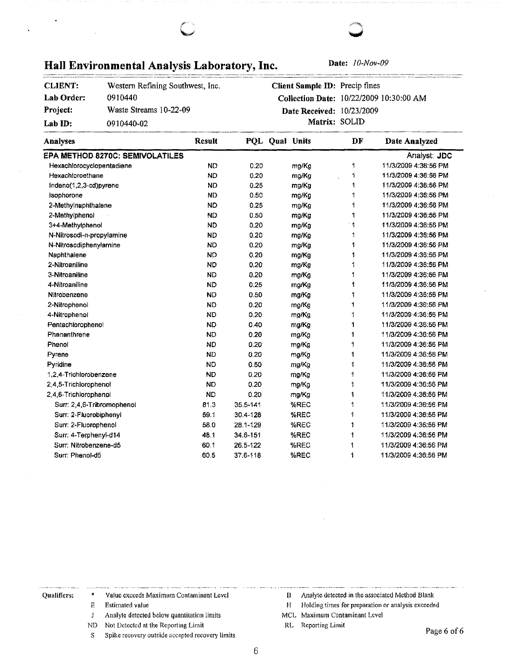# Hall Environmental Analysis Laboratory, Inc. Date: 10-Nov-09

| <b>CLIENT:</b> | Western Refining Southwest, Inc. |
|----------------|----------------------------------|
| Lab Order:     | 0910440                          |
| Project:       | Waste Streams 10-22-09           |
| Lab ID:        | 0910440-02                       |

**Client Sample** ID: Precip fines **Collection Date:** I 0/22/2009 I 0:30:00 AM **Date Received:** 10/23/2009 **Matrix:** SOLID

| Analyses                               | <b>Result</b> |          | PQL Qual Units | DF           | Date Analyzed        |
|----------------------------------------|---------------|----------|----------------|--------------|----------------------|
| <b>EPA METHOD 8270C: SEMIVOLATILES</b> |               |          |                |              | Analyst: JDC         |
| Hexachlorocyclopentadiene              | <b>ND</b>     | 0.20     | mg/Kg          | 1            | 11/3/2009 4:36:56 PM |
| Hexachloroethane                       | <b>ND</b>     | 0.20     | mg/Kg          | 1            | 11/3/2009 4:36:56 PM |
| Indeno(1,2,3-cd)pyrene                 | <b>ND</b>     | 0.25     | mg/Kg          | 1            | 11/3/2009 4:36:56 PM |
| Isophorone                             | <b>ND</b>     | 0.50     | mg/Kg          | 1            | 11/3/2009 4:36:56 PM |
| 2-Methylnaphthalene                    | <b>ND</b>     | 0.25     | mg/Kg          |              | 11/3/2009 4:36:56 PM |
| 2-Methylphenol                         | <b>ND</b>     | 0.50     | mg/Kg          | 1            | 11/3/2009 4:36:56 PM |
| 3+4-Methylphenol                       | <b>ND</b>     | 0.20     | mg/Kg          | 1            | 11/3/2009 4:36:56 PM |
| N-Nitrosodi-n-propylamine              | <b>ND</b>     | 0.20     | mg/Kg          | 1            | 11/3/2009 4:36:56 PM |
| N-Nitrosodiphenylamine                 | <b>ND</b>     | 0.20     | mg/Kg          | 1            | 11/3/2009 4:36:56 PM |
| Naphthalene                            | <b>ND</b>     | 0.20     | mg/Kg          | 1            | 11/3/2009 4:36:56 PM |
| 2-Nitroaniline                         | <b>ND</b>     | 0.20     | mg/Kg          | 1            | 11/3/2009 4:36:56 PM |
| 3-Nitroaniline                         | <b>ND</b>     | 0.20     | ma/Kg          | 1            | 11/3/2009 4:36:56 PM |
| 4-Nitroaniline                         | <b>ND</b>     | 0.25     | mg/Kg          | 1            | 11/3/2009 4:36:56 PM |
| Nitrobenzene                           | <b>ND</b>     | 0.50     | mg/Kg          | 1            | 11/3/2009 4:36:56 PM |
| 2-Nitrophenol                          | <b>ND</b>     | 0.20     | mo/Kg          | 1            | 11/3/2009 4:36:56 PM |
| 4-Nitrophenol                          | <b>ND</b>     | 0.20     | mg/Kg          | 1            | 11/3/2009 4:36:56 PM |
| Pentachlorophenol                      | <b>ND</b>     | 0.40     | mg/Kg          | $\mathbf{1}$ | 11/3/2009 4:36:56 PM |
| Phenanthrene                           | <b>ND</b>     | 0.20     | mg/Kg          | 1            | 11/3/2009 4:36:56 PM |
| Phenot                                 | <b>ND</b>     | 0.20     | mg/Kg          | 1            | 11/3/2009 4:36:56 PM |
| Pyrene                                 | <b>ND</b>     | 0.20     | mg/Kg          | 1            | 11/3/2009 4:36:56 PM |
| Pyridine                               | <b>ND</b>     | 0.50     | mg/Kg          | 1            | 11/3/2009 4:36:56 PM |
| 1,2.4-Trichlorobenzene                 | <b>ND</b>     | 0.20     | mg/Kg          | 1            | 11/3/2009 4:36:56 PM |
| 2.4.5-Trichlorophenol                  | <b>ND</b>     | 0.20     | mg/Kg          | 1            | 11/3/2009 4:36:56 PM |
| 2,4,6-Trichlorophenol                  | <b>ND</b>     | 0.20     | mg/Kg          | 1            | 11/3/2009 4:36:56 PM |
| Surr: 2,4,6-Tribromophenol             | 81.3          | 35.5-141 | %REC           | 1            | 11/3/2009 4:36:56 PM |
| Surr: 2-Fluorobiphenyl                 | 59.1          | 30.4-128 | %REC           | 1            | 11/3/2009 4:36:56 PM |
| Surr: 2-Fluorophenol                   | 58.0          | 28.1-129 | %REC           | 1            | 11/3/2009 4:36:56 PM |
| Surr: 4-Terphenyl-d14                  | 48.1          | 34.6-151 | %REC           | 1            | 11/3/2009 4:36:56 PM |
| Surr: Nitrobenzene-d5                  | 60.1          | 26.5-122 | %REC           | 1            | 11/3/2009 4:36:56 PM |
| Surr: Phenol-d5                        | 60.5          | 37.6-118 | %REC           | 1            | 11/3/2009 4:36:56 PM |

### Qualifiers: \* Value exceeds Maximum Contaminant Level

E Estimated value

 $\mathbf{J}$ Analyte detected below quantitation limits

ND Not Detected at the Reporting Limit

S Spike recovery outside accepted recovery limits

- B Analyte detected in the associated Method Blank
- H Holding times for preparation or analysis exceeded
- MCL Maximum Contaminant Level

RL Reporting Limit

Page 6 of 6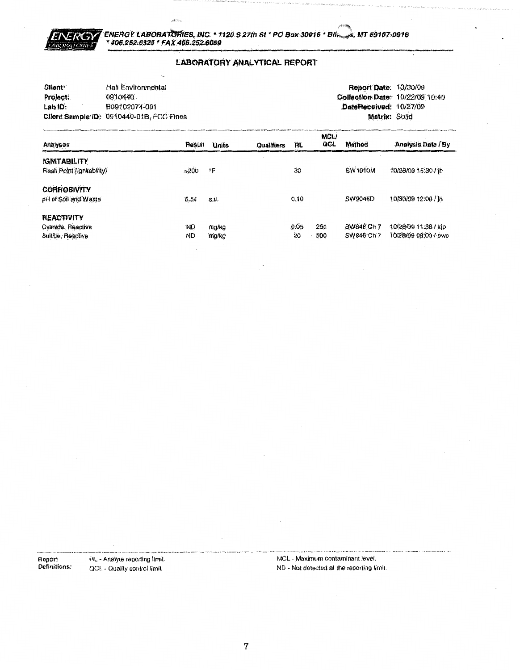

#### **LABORATORY ANALYTICAL REPORT**

| Client:  | Hall Environmental                       | <b>Report Date: 10/30/09</b>    |  |
|----------|------------------------------------------|---------------------------------|--|
| Project: | 0910440                                  | Collection Date: 10/22/09 10:40 |  |
| Lab ID:  | B09102074-001                            | DateReceived: 10/27/09          |  |
|          | Client Sample ID: 0910440-01B, FCC Fines | Matrix: Solid                   |  |

| Analyses                                                    | Result                 | <b>Units</b>   | <b>Qualifiers</b> | RL.        | <b>MCL/</b><br>QCL | Method                   | Analysis Date / By                           |
|-------------------------------------------------------------|------------------------|----------------|-------------------|------------|--------------------|--------------------------|----------------------------------------------|
| <b>IGNITABILITY</b><br>Flash Point (lignitability)          | >200                   | የም             |                   | 30         |                    | SW <sub>1010</sub> M     | 10/28/09 15:30 / jh                          |
| <b>CORROSIVITY</b><br>pH of Soil and Waste                  | 6.54                   | S.U.           |                   | 0.10       |                    | SW9045D                  | 10/30/09 12:00 / lh                          |
| <b>REACTIVITY</b><br>Cyanide, Reactive<br>Sulfine, Reactive | <b>ND</b><br><b>ND</b> | mg/kg<br>mg/kg |                   | 0.05<br>20 | 250<br>500         | SW846 Ch 7<br>SW846 Ch 7 | 10/28/09 11:38 / kip<br>10/28/09 08:00 / pwc |

Report<br>Definitions:

RL - Analyte reporting limit. QCL - Quality control limit.

MCL - Maximum contaminant level. ND - Not detected at the reporting limit.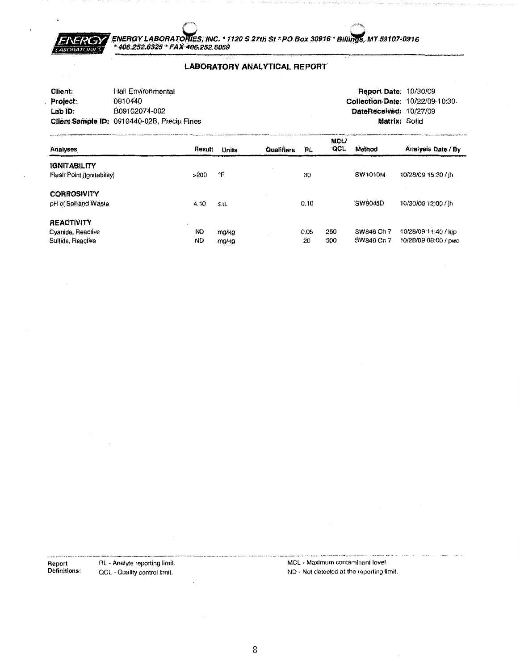

#### **LABORATORY ANALYTICAL REPORT**

| Client:            | Hall Environmental                          | <b>Report Date: 10/30/09</b>    |  |
|--------------------|---------------------------------------------|---------------------------------|--|
| Project:           | 0910440                                     | Collection Date: 10/22/09 10:30 |  |
| Lab <sub>ID:</sub> | B09102074-002                               | DateReceived: 10/27/09          |  |
|                    | Client Sample ID: 0910440-02B, Precip Fines | Matrix: Solid                   |  |

| Analyses                                                    | Result                 | Units          | <b>Qualifiers</b> | ΉL.        | <b>MCL/</b><br><b>GCL</b> | Method                   | Analysis Date / By                           |
|-------------------------------------------------------------|------------------------|----------------|-------------------|------------|---------------------------|--------------------------|----------------------------------------------|
| <b>IGNITABILITY</b><br>Flash Point (Ignitability)           | >200                   | ۰Ę             |                   | 30         |                           | SW1010M                  | 10/28/09 15:30 Lih                           |
| <b>CORROSIVITY</b><br>pH of Soil and Waste                  | 4,10                   | .S.U.          |                   | 0.10       |                           | SW9045D                  | 10/30/09 12:00 / th                          |
| <b>REACTIVITY</b><br>Cyanide, Reactive<br>Sulfide, Reactive | <b>ND</b><br><b>ND</b> | mg/kg<br>mg/kg |                   | 0.05<br>20 | 250<br>500                | SW846 Ch 7<br>SW846 Ch 7 | 10/28/09 11:40 / kip<br>10/28/09 08:00 / pwc |

**Report**<br>Definitions: RL - Analyte reporting limit. QCL - Quality control limit.

MCL - Maximum contaminant level. ND - Not detected at the reporting limit.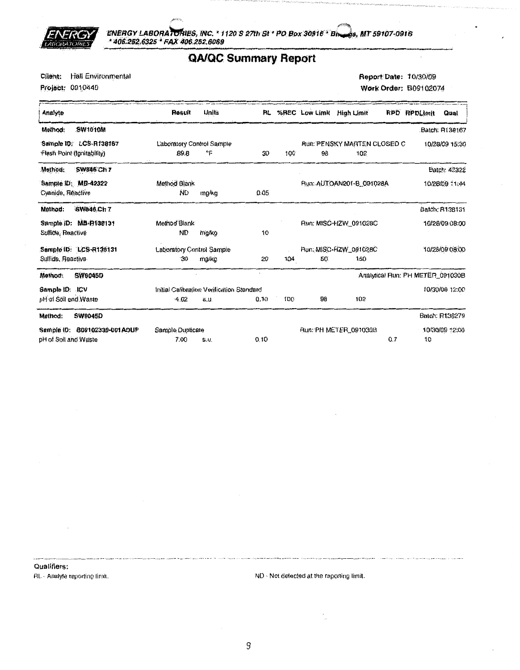

ENERGY LABORATORIES, INC. \* 1120 S 27th St \* PO Box 30916 \* Bhangs, MT 59107-0916<br>\* 406.252,6325 \* FAX 406.252.6069

### **QA/QC Summary Report**

Client: Hall Environmental

Project: 0910440

Report Date: 10/30/09 Work Order: B09102074

| Analyte                         | Result                    | <b>Units</b>                              |      |     |    | RL %REC Low Limit High Limit       | <b>RPD</b> | <b>RPDLImit</b>                  | Qual           |
|---------------------------------|---------------------------|-------------------------------------------|------|-----|----|------------------------------------|------------|----------------------------------|----------------|
| <b>SW1010M</b><br>Method:       |                           |                                           |      |     |    |                                    |            |                                  | Batch: R138167 |
| Sample ID: LCS-R138167          | Laboratory Control Sample |                                           |      |     |    | <b>Run: PENSKY MARTEN CLOSED C</b> |            |                                  | 10/28/09 15:30 |
| Flash Point (Ignitability)      | 89.8                      | ᅂ                                         | 30   | 100 | 98 | 102                                |            |                                  |                |
| Method:<br><b>SW846 Ch 7</b>    |                           |                                           |      |     |    |                                    |            |                                  | Batch: 42322   |
| Sample ID: MB-42322             | Method Blank              |                                           |      |     |    | Run: AUTOAN201-B 091028A           |            |                                  | 10/28/09 11:44 |
| Cyanide, Reactive               | ŃD                        | mg/kg                                     | 0.05 |     |    |                                    |            |                                  |                |
| SW846.Ch 7<br>Method:           |                           |                                           |      |     |    |                                    |            |                                  | Batch: R138131 |
| Sample ID: MB-R138131           | Method Blank              |                                           |      |     |    | Run: MISC-HZW_091028C              |            |                                  | 10/28/09 08:00 |
| Sulfide, Reactive               | ND                        | mo/kg                                     | 10   |     |    |                                    |            |                                  |                |
| Sample ID: LCS-R138131          | Laboratory Control Sample |                                           |      |     |    | Run: MISC-HZW_091028C              |            |                                  | 10/28/09 08:00 |
| Sulfide, Reactive               | 30                        | mg/kg                                     | 20   | 104 | 50 | 150                                |            |                                  |                |
| <b>SW9045D</b><br>Method:       |                           |                                           |      |     |    |                                    |            | Analytical Run: PH METER_091030B |                |
| Sample ID: ICV                  |                           | Initial Calibration Verification Standard |      |     |    |                                    |            |                                  | 10/30/09 12:00 |
| pH of Soil and Waste            | $-4.02$                   | S.U.                                      | 0.10 | 100 | 98 | 102                                |            |                                  |                |
| <b>SW9045D</b><br>Method:       |                           |                                           |      |     |    |                                    |            |                                  | Batch: R138279 |
| B09102330-001ADUP<br>Sample ID: | Sample Duplicate          |                                           |      |     |    | Run. PH METER_091030B              |            |                                  | 10/30/09 12:00 |
| pH of Soil and Waste            | 7.00                      | S.U.                                      | 0.10 |     |    |                                    | 0.7        | 10                               |                |

Qualifiers: RL - Analyte reporting limit.

ND - Not detected at the reporting limit.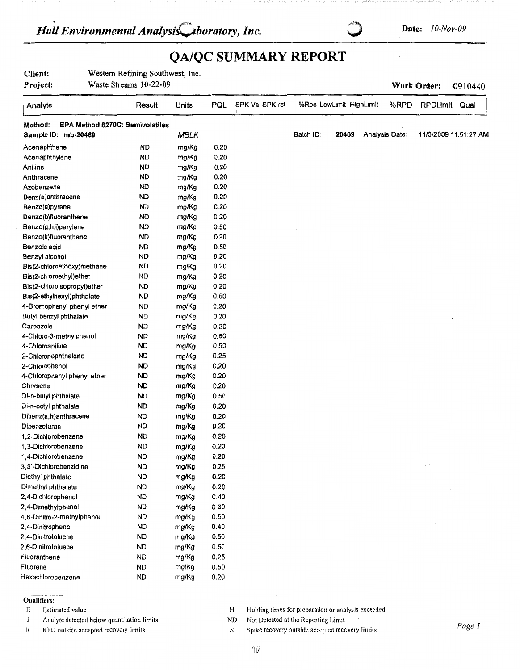## **QA/QC SUMMARY REPORT**

| Client: |  | Western Refining Southwest, Inc. |  |
|---------|--|----------------------------------|--|
|         |  |                                  |  |

**Project:**  Waste Streams 10-22-09

Analyte Result Units **Method: EPA Method 8270C: Semivolatlles**  Sample **ID:** mb-20469 **MBLK** Acenaphthene ND mg/Kg Acenaphthylene ND mg/Kg Aniline ND mg/Kg Anthracene ND mg/Kg Azobenzene **ND** mg/Kg Benz(a)anthracene **ND** mg/Kg Benzo(a)pyrene ND mg/Kg Benzo(b)fluoranthene ND mg/Kg Benzo(g,h,i)perylene ND mg/Kg Benzo(k)fluoranthene ND mg/Kg Benzoic acid **ND** mg/Kg Benzyl alcohol **ND** mg/Kg Bis(2-chloroethoxy)methane ND mg/Kg Bis(2-chloroethyl)ether ND mg/Kg Bis(2-chloroisopropyl)ether ND mg/Kg Bis(2-ethylhexyl)phthalate **ND** mg/Kg 4-Bromophenyl phenyl ether ND mg/Kg Butyl benzyl phthalate **ND** mg/Kg Carbazole **ND** mg/Kg 4-Chloro-3-methylphenol ND mg/Kg 4-Chloroaniline ND mg/Kg 2-Chloronaphthalene ND mg/Kg 2-Chlorophenol **ND** mg/Kg 4-Chlorophenyl phenyl ether **ND** mg/Kg Chrysene **ND** mg/Kg Di-n-butyi phthalate ND mg/Kg Di-n-oclyl phlhalate **ND** mg/Kg Dibenz(a,h)anthracene ND mg/Kg Dibenzofuran ND mg/Kg 1,2-Dichlorobenzene ND mg/Kg 1,3-Dichlorobenzene ND mg/Kg 1,4-Dichlorobenzene ND mg/Kg 3,3 · -Dichlorobenzidine **ND** mg/Kg Diethyl phthalate **ND** mg/Kg Dimethyl phthalate ND mg/Kg 2,4-Dichlorophenol ND mg/Kg 2,4-Dimethylphenol ND mg/Kg 4,6-Dinitro-2-methylphenol ND mg/Kg 2,4-Dinitrophenol ND mg/Kg 2,4-Dinitrotoluene ND mg/Kg 2, 6-Dinitrotoluene ND mg/Kg Fluoranthene ND mg/Kg Fluorene ND mg/Kg Hexachlorobenzene ND mg/Kg -·----·- -·· -------------- . ------------••---- -----· **Work Order:** 0910440 PQL SPK Va SPK ref %Rec Lowlimit Highlimit %RPO RPDLimit Qual Batch ID: **20469** Analysis Date: 11/3/200911:51:27 **AM**  0.20 0.20 0.20 0.20 0.20 0.20 0.20 0.20 0.50 0.20 0.50 0.20 0.20 0.20 0.20 0.50 0.20 0.20 0.20 0.50 0.50 0.25 0.20 0.20 0.20 0.50 0.20 0.20 0.20 0.20 0.20 0.20 0.25 0.20 0.20 0.40 0.30 0.50 0.40 0.50 0.50 0.25 0.50 0.20 - -------- ----- - - ---·-----····•·- ·-· -----·· -· . --- -··---- .. --- ···-.

#### Qualifiers:

E Estimated value

- J Analytc detected below quantitation limits
- R RPD outside accepted recovery limits
- H Holding times for preparation or analysis exceeded
- ND Not Detected at the Reporting Limit
- s Spike recovery outside accepted recovery limits *Page I*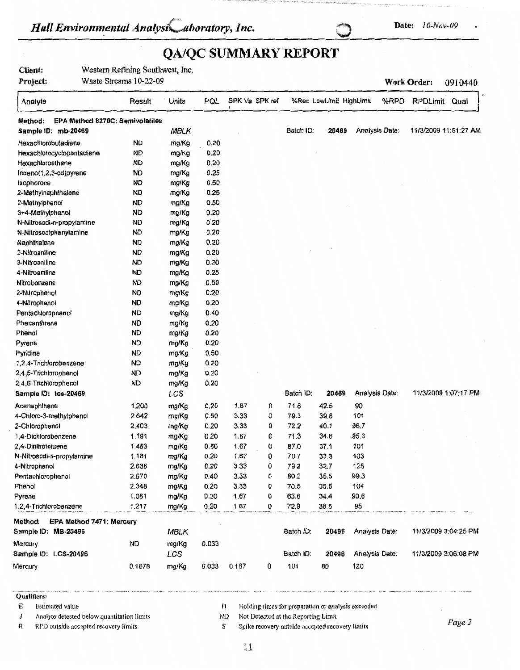# $\mathbb{R}$ *Hall Environmental Analysi<sub>s</sub> aboratory, Inc.* 0 **Date:** 10-Nov-09 **Date:** 10-Nov-09

# **QA/QC SUMMARY REPORT**

**Client: Project:**  Western Refining Southwest, Inc. Waste Streams 10-22-09

**Work Order:** 0910440

| Analyte                                    | Result    | Units | PQL   | SPK Va SPK ref |   |           | %Rec LowLimit HighLimit |                       | %RPD | RPDLimit              | Qual |
|--------------------------------------------|-----------|-------|-------|----------------|---|-----------|-------------------------|-----------------------|------|-----------------------|------|
| EPA Method 8270C: Semivolatiles<br>Method: |           |       |       |                |   |           |                         |                       |      |                       |      |
| Sample ID: mb-20469                        |           | MBLK  |       |                |   | Batch ID: | 20469                   | <b>Analysis Date:</b> |      | 11/3/2009 11:51:27 AM |      |
| Hexachlorobutadiene                        | <b>ND</b> | mg/Kg | 0.20  |                |   |           |                         |                       |      |                       |      |
| Hexachlorocyclopentadiene                  | <b>ND</b> | mg/Kg | 0.20  |                |   |           |                         |                       |      |                       |      |
| Hexachloroethane                           | <b>ND</b> | mg/Kg | 0.20  |                |   |           |                         |                       |      |                       |      |
| Indeno(1,2,3-cd)pyrene                     | ND        | mg/Kg | 0.25  |                |   |           |                         |                       |      |                       |      |
| Isophorone                                 | <b>ND</b> | mg/Kg | 0.50  |                |   |           |                         |                       |      |                       |      |
| 2-Methylnaphthalene                        | ND        | mg/Kg | 0.25  |                |   |           |                         |                       |      |                       |      |
| 2-Methylphenol                             | ND        | mg/Kg | 0.50  |                |   |           |                         |                       |      |                       |      |
| 3+4-Methylphenol                           | ND        | mg/Kg | 0.20  |                |   |           |                         |                       |      |                       |      |
| N-Nitrosodi-n-propylamine                  | <b>ND</b> | mg/Kg | 0.20  |                |   |           |                         |                       |      |                       |      |
| N-Nitrosodiphenylamine                     | ND        | mg/Kg | 0.20  |                |   |           |                         |                       |      |                       |      |
| Naphthalene                                | ND        | mg/Kg | 0.20  |                |   |           |                         |                       |      |                       |      |
| 2-Nitroaniline                             | <b>ND</b> | mg/Kg | 0.20  |                |   |           |                         |                       |      |                       |      |
| 3-Nitroaniline                             | <b>ND</b> | mg/Kg | 0.20  |                |   |           |                         |                       |      |                       |      |
| 4-Nitroaniline                             | ND        | mg/Kg | 0.25  |                |   |           |                         |                       |      |                       |      |
| Nitrobenzene                               | <b>ND</b> | mg/Kg | 0.50  |                |   |           |                         |                       |      |                       |      |
| 2-Nitrophenot                              | ND        | mg/Kg | 0.20  |                |   |           |                         |                       |      |                       |      |
| 4-Nitrophenol                              | <b>ND</b> | mg/Kg | 0.20  |                |   |           |                         |                       |      |                       |      |
| Pentachloropheno!                          | <b>ND</b> | mg/Kg | 0.40  |                |   |           |                         |                       |      |                       |      |
| Phenanthrene                               | <b>ND</b> | mg/Kg | 0.20  |                |   |           |                         |                       |      |                       |      |
| Phenol                                     | <b>ND</b> | mg/Kg | 0.20  |                |   |           |                         |                       |      |                       |      |
| Pyrene                                     | ND        | mg/Kg | 0.20  |                |   |           |                         |                       |      |                       |      |
| Pyridine                                   | ND        | mg/Kg | 0.50  |                |   |           |                         |                       |      |                       |      |
| 1,2,4-Trichlorobenzene                     | <b>ND</b> | mg/Kg | 0.20  |                |   |           |                         |                       |      |                       |      |
| 2,4,5-Trichlorophenol                      | <b>ND</b> | mg/Kg | 0.20  |                |   |           |                         |                       |      |                       |      |
| 2,4,6-Trichlorophenol                      | <b>ND</b> | mg/Kg | 0.20  |                |   |           |                         |                       |      |                       |      |
| Sample ID: Ics-20469                       |           | LCS   |       |                |   | Batch ID: | 20469                   | Analysis Date:        |      | 11/3/2009 1:07:17 PM  |      |
| Acenaphthene                               | 1.200     | mg/Kg | 0.20  | 1.67           | 0 | 71.8      | 42.5                    | 90                    |      |                       |      |
| 4-Chloro-3-methylphenol                    | 2.642     | mg/Kg | 0.50  | 3.33           | 0 | 79.3      | 39.6                    | 101                   |      |                       |      |
| 2-Chlorophenol                             | 2.403     | mg/Kg | 0.20  | 3.33           | 0 | 72.2      | 40.1                    | 96.7                  |      |                       |      |
| 1,4-Dichlorobenzene                        | 1.191     | mg/Kg | 0.20  | 1.67           | 0 | 71.3      | 34.6                    | 95.3                  |      |                       |      |
| 2,4-Dinitrotoluene                         | 1.453     | mg/Kg | 0.50  | 1.67           | 0 | 87.0      | 37.1                    | 101                   |      |                       |      |
| N-Nitrosodi-n-propylamine                  | 1.181     | mg/Kg | 0.20  | 1.67           | 0 | 70.7      | 33.3                    | 103                   |      |                       |      |
| 4-Nitrophenol                              | 2.636     | mg/Kg | 0.20  | 3.33           | 0 | 79.2      | 32.7                    | 125                   |      |                       |      |
| Pentachlorophenol                          | 2.670     | mg/Kg | 0.40  | 3.33           | 0 | 80.2      | 35.5                    | 99.3                  |      |                       |      |
| Phenol                                     | 2.348     | mg/Kg | 0.20  | 3.33           | 0 | 70.5      | 35.5                    | 104                   |      |                       |      |
| Pyrene                                     | 1.061     | mg/Kg | 0.20  | 1.67           | 0 | 63.5      | 34.4                    | 90.6                  |      |                       |      |
| 1.2.4-Trichlorobenzene                     | 1.217     | mg/Kg | 0.20  | 1.67           | 0 | 72.9      | 38.5                    | 95                    |      |                       |      |
| EPA Method 7471: Mercury<br>Method:        |           |       |       |                |   |           |                         |                       |      |                       |      |
| Sample ID: MB-20496                        |           | MBLK  |       |                |   | Batch ID: | 20496                   | Analysis Date:        |      | 11/3/2009 3:04:25 PM  |      |
| Mercury                                    | ND        | mg/Kg | 0.033 |                |   |           |                         |                       |      |                       |      |
| Sample ID: LCS-20496                       |           | LCS   |       |                |   | Batch ID. | 20496                   | Analysis Date:        |      | 11/3/2009 3:06:08 PM  |      |
|                                            |           |       |       |                |   |           |                         |                       |      |                       |      |
| Mercury                                    | 0.1678    | mg/Kg | 0.033 | 0.167          | 0 | 101       | 80                      | 120                   |      |                       |      |

#### ------------- . - . ······ -------------· **Qualifiers:**

E Estimated value

J Analyte detected below quantitation limits

R RPD outside accepted recovery limits

H Holding times for preparation or analysis exceeded

. --- -···- -•· - ----- -- ---- ----- ---·--- ------------.

ND Not Detected at the Reporting Limit

s Spike recovery outside accepted recovery limits *Page 2*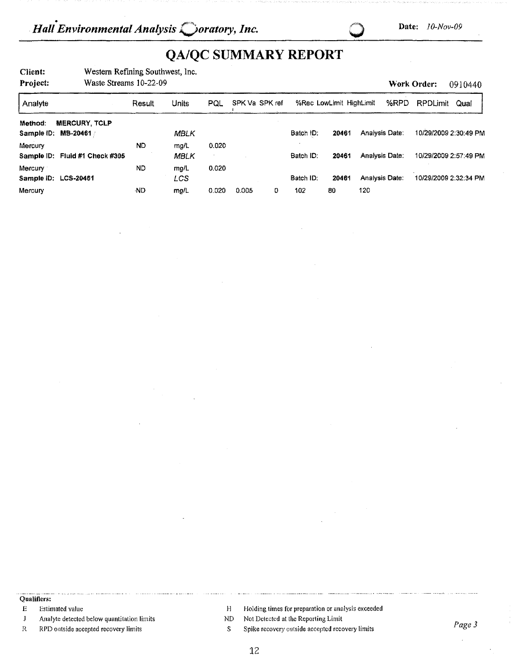**Work Order:** 0910440

# **QA/QC SUMMARY REPORT**

**Client:**  Western Refining Southwest, Inc.

**Project:**  Waste Streams 10-22-09

Analyte Result Units **Method: MERCURY, TCLP Sample** ID: **MB-20461** *i* MBLK Mercury ND mg/L **Sample** ID: **Fluid** #1 **Check #305** MBLK Mercury ND mg/L **Sample** ID: **LCS-20461** LCS Mercury **Mercury** , ND **mg/L** PQL SPK Va SPK ref %Rec LowLimit HighLimit %RPD RPDLimit Qual Batch ID: **20461** Analysis Date: 10/29/2009 2:30:49 PM 0,020 Batch ID: **20461** Analysis Date: 10/29/2009 2:57:49 PM 0.020 Batch ID: **20461 Analysis Date: 10/29/2009 2:32:34 PM 0,020** 0,005 0 **102 80 120** 

**Qualifiers:** 

E Estimated value

- J Analyte detected below quantitation limits
- R RPD outside accepted recovery limits
- H Holding times for preparation or analysis exceeded
- ND Not Detected at the Reporting Limit
- S Spike recovery outside accepted recovery limits *Page 3*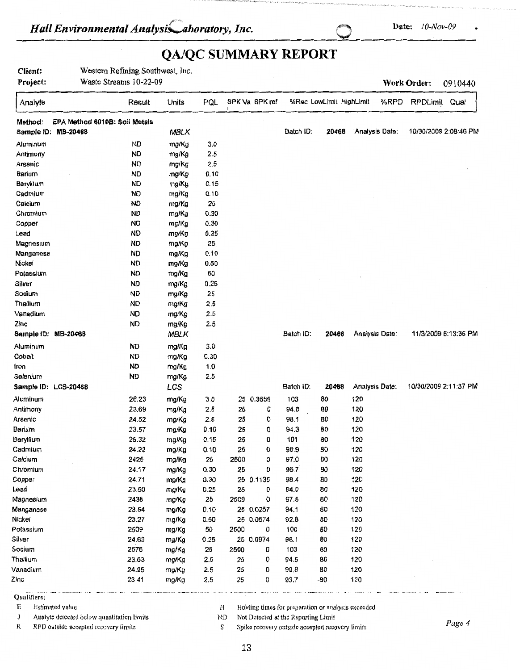# *Hall Environmental Analysis aboratory, Inc.* 2014. Date: <sup>10-Nov-09</sup> .

# **QA/QC SUMMARY REPORT**

**Client:** Western Refining Southwest, Inc. **Project:** Waste Streams 10-22-09 **Work Order:** 0910440

| Analyte                                  | Result    | Units       | PQL  |      | SPK Va SPK ref |              | %Rec LowLimit HighLimit |                | %RPD | RPDLimit              | Qual |
|------------------------------------------|-----------|-------------|------|------|----------------|--------------|-------------------------|----------------|------|-----------------------|------|
| EPA Method 6010B: Soil Metals<br>Method: |           |             |      |      |                |              |                         |                |      |                       |      |
| Sample ID: MB-20468                      |           | MBLK        |      |      |                | Batch ID:    | 20468                   | Analysis Date: |      | 10/30/2009 2:08:46 PM |      |
| Aluminum                                 | <b>ND</b> | mg/Kg       | 3.0  |      |                |              |                         |                |      |                       |      |
| Antimony                                 | <b>ND</b> | mg/Kg       | 2.5  |      |                |              |                         |                |      |                       |      |
| Arsenic                                  | <b>ND</b> | mg/Kg       | 2.5  |      |                |              |                         |                |      |                       |      |
| Barium                                   | <b>ND</b> | mg/Kg       | 0.10 |      |                |              |                         |                |      |                       |      |
| Beryllium                                | <b>ND</b> | mg/Kg       | 0.15 |      |                |              |                         |                |      |                       |      |
| Cadmium                                  | <b>ND</b> | mg/Kg       | 0.10 |      |                |              |                         |                |      |                       |      |
| Calcium                                  | <b>ND</b> | mg/Kg       | 25   |      |                |              |                         |                |      |                       |      |
| Chromium                                 | <b>ND</b> | mg/Kg       | 0.30 |      |                |              |                         |                |      |                       |      |
| Copper                                   | <b>ND</b> | mg/Kg       | 0.30 |      |                |              |                         |                |      |                       |      |
| Lead                                     | <b>ND</b> | mg/Kg       | 0.25 |      |                |              |                         |                |      |                       |      |
| Magnesium                                | <b>ND</b> | mg/Kg       | 25   |      |                |              |                         |                |      |                       |      |
| Manganese                                | <b>ND</b> | mg/Kg       | 0.10 |      |                |              |                         |                |      |                       |      |
| Nickel                                   | <b>ND</b> | mg/Kg       | 0.50 |      |                |              |                         |                |      |                       |      |
| Potassium                                | <b>ND</b> | mg/Kg       | 50   |      |                |              |                         |                |      |                       |      |
| Silver                                   | <b>ND</b> | mg/Kg       | 0.25 |      |                |              |                         |                |      |                       |      |
| Sodium                                   | <b>ND</b> | mg/Kg       | 25   |      |                |              |                         |                |      |                       |      |
| Thallium                                 | <b>ND</b> | mg/Kg       | 2.5  |      |                |              |                         |                |      |                       |      |
| Vanadium                                 | <b>ND</b> | mg/Kg       | 2.5  |      |                |              |                         |                |      |                       |      |
| Zinc                                     | ND        | mg/Kg       | 2.5  |      |                |              |                         |                |      |                       |      |
| Sample ID: MB-20468                      |           | <b>MBLK</b> |      |      |                | Batch ID:    | 20468                   | Analysis Date: |      | 11/3/2009 6:13:36 PM  |      |
| Aluminum                                 | <b>ND</b> | mg/Kg       | 3.0  |      |                |              |                         |                |      |                       |      |
| Cobalt                                   | <b>ND</b> | mg/Kg       | 0.30 |      |                |              |                         |                |      |                       |      |
| Iron                                     | <b>ND</b> | mg/Kg       | 1.0  |      |                |              |                         |                |      |                       |      |
| Selenium                                 | <b>ND</b> | mg/Kg       | 2.5  |      |                |              |                         |                |      |                       |      |
| Sample ID: LCS-20468                     |           | LCS         |      |      |                | Batch ID:    | 20468                   | Analysis Date: |      | 10/30/2009 2:11:37 PM |      |
|                                          | 26.23     |             |      |      | 25 0.3656      | 103          | 80                      | 120            |      |                       |      |
| Aluminum                                 |           | mg/Kg       | 3.0  |      | 0              |              | 80                      | 120            |      |                       |      |
| Antimony                                 | 23.69     | mg/Kg       | 2.5  | 25   |                | 94.8<br>98.1 | 80                      | 120            |      |                       |      |
| Arsenic                                  | 24.52     | mg/Kg       | 2.5  | 25   | 0              |              |                         |                |      |                       |      |
| Barium                                   | 23.57     | mg/Kg       | 0.10 | 25   | o              | 94.3         | 80                      | 120            |      |                       |      |
| Beryllium                                | 25.32     | mg/Kg       | 0.15 | 25   | 0              | 101          | 80                      | 120            |      |                       |      |
| Cadmium                                  | 24.22     | mg/Kg       | 0.10 | 25   | 0              | 96.9         | 80                      | 120            |      |                       |      |
| Calcium                                  | 2425      | mg/Kg       | 25   | 2500 | 0              | 97.0         | 80                      | 120            |      |                       |      |
| Chromium                                 | 24.17     | mg/Kg       | 0.30 | 25   | 0              | 96.7         | 80                      | 120            |      |                       |      |
| Copper                                   | 24.71     | mg/Kg       | 0.30 |      | 25 0.1135      | 98.4         | 80                      | 120            |      |                       |      |
| Lead                                     | 23.50     | mg/Kg       | 0.25 | 25   | 0              | 94.0         | 80                      | 120            |      |                       |      |
| Magnesium                                | 2438      | mg/Kg       | 25   | 2500 | 0              | 97.5         | 80                      | 120            |      |                       |      |
| Manganese                                | 23.54     | mg/Kg       | 0.10 |      | 25 0.0257      | 94.1         | 80                      | 120            |      |                       |      |
| Nickel                                   | 23.27     | mg/Kg       | 0.50 |      | 25 0.0574      | 92.8         | 80                      | 120            |      |                       |      |
| Potassium                                | 2509      | mg/Kg       | 50   | 2500 | 0              | 100          | 80                      | 120            |      |                       |      |
| Silver                                   | 24.63     | mg/Kg       | 0.25 |      | 25 0.0974      | 98.1         | 80                      | 120            |      |                       |      |
| Sodium                                   | 2576      | mg/Kg       | 25   | 2500 | 0              | 103          | 80                      | 120            |      |                       |      |
| Thallium                                 | 23.63     | mg/Kg       | 2.5  | 25   | 0              | 94.5         | 80                      | 120            |      |                       |      |
| Vanadium                                 | 24.95     | mg/Kg       | 2.5  | 25   | 0              | 99.8         | 80                      | 120            |      |                       |      |
| Zinc                                     | 23.41     | mg/Kg       | 2.5  | 25   | 0              | 93.7         | $-80$                   | 120            |      |                       |      |

Qualifiers:

J Analyte detected below quantitation limits ND Not Detected at the Reporting Limit

E Estimated value **H** Holding times for preparation or analysis exceeded

Reflective accepted recovery limits and the recovery outside accepted recovery limits **Page 4 Reflective and recovery contract recovery** limits **Page 4 Reflective and report in the recovery limits Page 4 Reflective**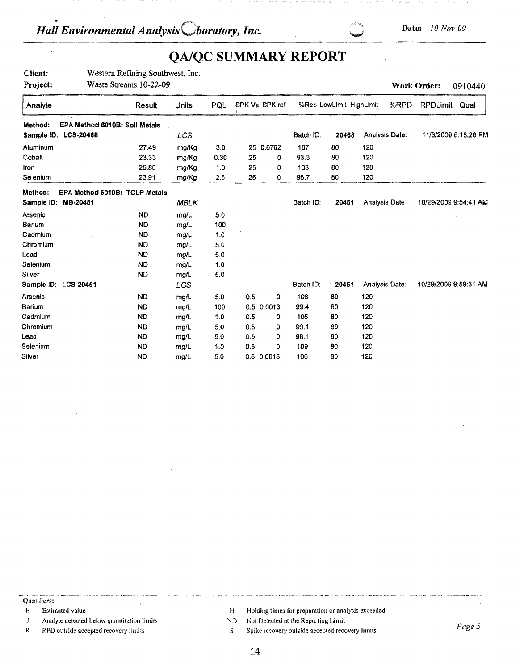# **QA/QC SUMMARY REPORT**

| Client:<br>Project: |                               | Western Refining Southwest, Inc.<br>Waste Streams 10-22-09 |             |      |     |                |           |                         |     |                | Work Order:     | 0910440               |
|---------------------|-------------------------------|------------------------------------------------------------|-------------|------|-----|----------------|-----------|-------------------------|-----|----------------|-----------------|-----------------------|
|                     |                               |                                                            |             |      |     |                |           |                         |     |                |                 |                       |
| Analyte             |                               | Result                                                     | Units       | PQL  |     | SPK Va SPK ref |           | %Rec LowLimit HighLimit |     | %RPD           | <b>RPDLimit</b> | Qual                  |
| Method:             | EPA Method 6010B: Soil Metals |                                                            |             |      |     |                |           |                         |     |                |                 |                       |
|                     | Sample ID: LCS-20468          |                                                            | LCS         |      |     |                | Batch ID: | 20468                   |     | Analysis Date: |                 | 11/3/2009 6:16:26 PM  |
| Aluminum            |                               | 27.49                                                      | mg/Kg       | 3.0  |     | 25 0.6762      | 107       | 80                      | 120 |                |                 |                       |
| Cobalt              |                               | 23.33                                                      | mg/Kg       | 0.30 | 25  | 0              | 93.3      | 80                      | 120 |                |                 |                       |
| Iron                |                               | 25.80                                                      | mg/Kg       | 1.0  | 25  | 0              | 103       | 80                      | 120 |                |                 |                       |
| Selenium            |                               | 23.91                                                      | mg/Kg       | 2.5  | 25  | 0              | 95.7      | 80                      | 120 |                |                 |                       |
| Method:             | EPA Method 6010B: TCLP Metals |                                                            |             |      |     |                |           |                         |     |                |                 |                       |
| Sample ID:          | MB-20451                      |                                                            | <b>MBLK</b> |      |     |                | Batch ID: | 20451                   |     | Analysis Date: |                 | 10/29/2009 9:54:41 AM |
| Arsenic             |                               | <b>ND</b>                                                  | mg/L        | 5.0  |     |                |           |                         |     |                |                 |                       |
| Barium              |                               | <b>ND</b>                                                  | mg/L        | 100  |     |                |           |                         |     |                |                 |                       |
| Cadmium             |                               | <b>ND</b>                                                  | mg/L        | 1.0  |     |                |           |                         |     |                |                 |                       |
| Chromium            |                               | <b>ND</b>                                                  | mg/L        | 5.0  |     |                |           |                         |     |                |                 |                       |
| Lead                |                               | <b>ND</b>                                                  | mg/L        | 5.0  |     |                |           |                         |     |                |                 |                       |
| Selenium            |                               | ND.                                                        | mg/L        | 1.0  |     |                |           |                         |     |                |                 |                       |
| Silver              |                               | <b>ND</b>                                                  | mg/L        | 5.0  |     |                |           |                         |     |                |                 |                       |
|                     | Sample ID: LCS-20451          |                                                            | LCS         |      |     |                | Batch ID: | 20451                   |     | Analysis Date: |                 | 10/29/2009 9:59:31 AM |
| Arsenic             |                               | <b>ND</b>                                                  | mg/L        | 5.0  | 0.5 | 0              | 106       | 80                      | 120 |                |                 |                       |
| Barium              |                               | <b>ND</b>                                                  | mg/L        | 100  |     | 0.5 0.0013     | 99.4      | 80                      | 120 |                |                 |                       |
| Cadmium             |                               | <b>ND</b>                                                  | mg/L        | 1.0  | 0.5 | 0              | 105       | 80                      | 120 |                |                 |                       |
| Chromium            |                               | ND.                                                        | mg/L        | 5.0  | 0.5 | 0              | 99.1      | 80                      | 120 |                |                 |                       |
| Lead                |                               | <b>ND</b>                                                  | mg/L        | 5.0  | 0.5 | ٥              | 98.1      | 80                      | 120 |                |                 |                       |
| Selenium            |                               | <b>ND</b>                                                  | mg/L        | 1.0  | 0.5 | 0              | 109       | 80                      | 120 |                |                 |                       |
| Silver              |                               | <b>ND</b>                                                  | mg/L        | 5.0  |     | 0.5 0.0018     | 106       | 80                      | 120 |                |                 |                       |

--· - ·--- ··---- -· . --- ---------• .. - --· ···--· Qualifiers:

- 
- J Analyte detected below quantitation limits
- R RPO outside accepted recovery limits
- E Estimated value **Estimated value** H Holding times for preparation or analysis exceeded
	- ND Not Detected at the Reporting Limit
	- S Spike recovery outside accepted recovery limits *Pages*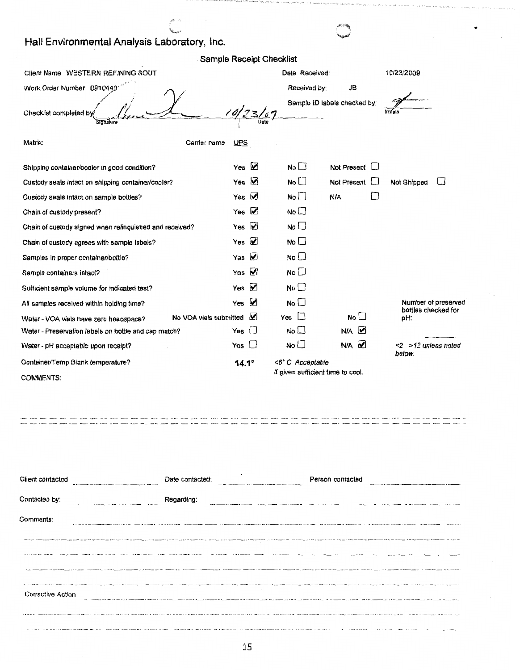# Hall Environmental Analysis Laboratory, Inc.

| Sample Receipt Checklist                                         |                         |      |                                   |                              |                |                               |                     |
|------------------------------------------------------------------|-------------------------|------|-----------------------------------|------------------------------|----------------|-------------------------------|---------------------|
| Client Name WESTERN REFINING SOUT                                |                         |      | Date Received:                    |                              |                | 10/23/2009                    |                     |
| Work Order Number 0910440                                        |                         |      | Received by:                      | JB                           |                |                               |                     |
| Checklist completed by<br>Sidnature                              |                         | Date |                                   | Sample ID labels checked by: | initials       |                               |                     |
| Matrix:<br>Carrier name                                          | UPS                     |      |                                   |                              |                |                               |                     |
| Shipping container/cooler in good condition?                     | Yes $\vee$              |      | No <sub>1</sub>                   | Not Present                  |                |                               |                     |
| Custody seals intact on shipping container/cooler?               | Ø<br>Yes                |      | No $\square$                      | Not Present                  |                | Not Shipped                   | $\Box$              |
| Custody seals intact on sample bottles?                          | ⊻<br>Yes                |      | No                                | N/A                          | $\blacksquare$ |                               |                     |
| Chain of custody present?                                        | Ø<br>Yes                |      | No <sub>1</sub>                   |                              |                |                               |                     |
| Chain of custody signed when relinquished and received?          | ☑<br>Yes                |      | No L                              |                              |                |                               |                     |
| Chain of custody agrees with sample labels?                      | ☑<br>Yes                |      | No                                |                              |                |                               |                     |
| Samples in proper container/bottle?                              | $\triangleright$<br>Yes |      | No L                              |                              |                |                               |                     |
| Sample containers intact?                                        | Yes $\varnothing$       |      | No $\square$                      |                              |                |                               |                     |
| Sufficient sample volume for indicated test?                     | Yes $\triangledown$     |      | No <sub>1</sub>                   |                              |                |                               |                     |
| All samples received within holding time?                        | ☑<br>Yes                |      | No <sub>1</sub>                   |                              |                |                               | Number of preserved |
| No VOA vials submitted<br>Water - VOA vials have zero headspace? | M                       |      | $\Box$<br>Yes                     | No $\Box$                    |                | bottles checked for<br>pH:    |                     |
| Water - Preservation labels on bottle and cap match?             | $\mathsf{L}$<br>Yes     |      | No                                | ☑<br>N/A                     |                |                               |                     |
| Water - pH acceptable upon receipt?                              | Yes<br>$\Box$           |      | No <sub>1</sub>                   | ☑<br>N/A                     |                | <2 >12 unless noted<br>below. |                     |
| Container/Temp Blank temperature?                                | $14.1^\circ$            |      | <6° C Acceptable                  |                              |                |                               |                     |
| <b>COMMENTS:</b>                                                 |                         |      | If given sufficient time to cool. |                              |                |                               |                     |
|                                                                  |                         |      |                                   |                              |                |                               |                     |

•

| Client contacted<br>or or transport form of the second section of the                                 | Date contacted: | Person contacted<br>Made a first state send computer should be constructed and                                                                                                                                                 |  |
|-------------------------------------------------------------------------------------------------------|-----------------|--------------------------------------------------------------------------------------------------------------------------------------------------------------------------------------------------------------------------------|--|
|                                                                                                       |                 |                                                                                                                                                                                                                                |  |
| Contacted by:<br>A company of the monotonic contract the company of the monotonic                     | Regarding:      |                                                                                                                                                                                                                                |  |
| Comments:                                                                                             |                 |                                                                                                                                                                                                                                |  |
|                                                                                                       |                 |                                                                                                                                                                                                                                |  |
|                                                                                                       |                 |                                                                                                                                                                                                                                |  |
|                                                                                                       |                 | The Continue and the complete the Continue and the Continue and Continue and Continue and the Continue of Continue and Continue and the Continue and the Continue and the Continue and the Continue and the Continue and the C |  |
|                                                                                                       |                 |                                                                                                                                                                                                                                |  |
| The computer of the computer and the computer and computer and computer and computer and computer and |                 | THE COMMON CAST COMPANY OF REAL PROPERTY AND A RECOVERED AND RELEASED FOR THE MAIN COMMON COMMON COMMON CONTRACTS AND RELEASED FOR THE RELEASED FOR THE RELEASED FOR THE RELEASED FOR THE RELEASED FOR THE RELEASED FOR THE RE |  |
| Corrective Action                                                                                     |                 | ALL AND RESIDENCE AND ARRESTS AND RESIDENCE AND ARRESTS AND ARRESTS AND ARRESTS AND ARRESTS AND ARRESTS AND ARRESTS AND ARRESTS AND ALL AND ARRESTS AND ARRESTS AND ARRESTS AND ARRESTS AND ARRESTS AND ARRESTS AND ARRESTS AN |  |
|                                                                                                       |                 | The first state of the second state of the second state of the first state of the second state of the second state of the second                                                                                               |  |
|                                                                                                       |                 | . This are the companies and three day, then the device concert in empty care. But there is the count of the control can determine a status of the control three cases are made the magnitude to an approximately the companie |  |